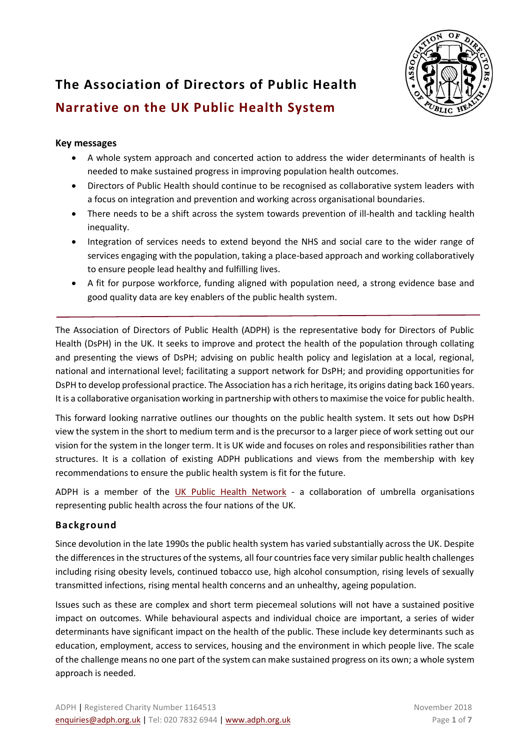

# **The Association of Directors of Public Health Narrative on the UK Public Health System**

## **Key messages**

- A whole system approach and concerted action to address the wider determinants of health is needed to make sustained progress in improving population health outcomes.
- Directors of Public Health should continue to be recognised as collaborative system leaders with a focus on integration and prevention and working across organisational boundaries.
- There needs to be a shift across the system towards prevention of ill-health and tackling health inequality.
- Integration of services needs to extend beyond the NHS and social care to the wider range of services engaging with the population, taking a place-based approach and working collaboratively to ensure people lead healthy and fulfilling lives.
- A fit for purpose workforce, funding aligned with population need, a strong evidence base and good quality data are key enablers of the public health system.

The Association of Directors of Public Health (ADPH) is the representative body for Directors of Public Health (DsPH) in the UK. It seeks to improve and protect the health of the population through collating and presenting the views of DsPH; advising on public health policy and legislation at a local, regional, national and international level; facilitating a support network for DsPH; and providing opportunities for DsPH to develop professional practice. The Association has a rich heritage, its origins dating back 160 years. It is a collaborative organisation working in partnership with others to maximise the voice for public health.

This forward looking narrative outlines our thoughts on the public health system. It sets out how DsPH view the system in the short to medium term and is the precursor to a larger piece of work setting out our vision for the system in the longer term. It is UK wide and focuses on roles and responsibilities rather than structures. It is a collation of existing ADPH publications and views from the membership with key recommendations to ensure the public health system is fit for the future.

ADPH is a member of the [UK Public Health Network](http://www.ukpublichealthnetwork.org.uk/) - a collaboration of umbrella organisations representing public health across the four nations of the UK.

## **Background**

Since devolution in the late 1990s the public health system has varied substantially across the UK. Despite the differences in the structures of the systems, all four countries face very similar public health challenges including rising obesity levels, continued tobacco use, high alcohol consumption, rising levels of sexually transmitted infections, rising mental health concerns and an unhealthy, ageing population.

Issues such as these are complex and short term piecemeal solutions will not have a sustained positive impact on outcomes. While behavioural aspects and individual choice are important, a series of wider determinants have significant impact on the health of the public. These include key determinants such as education, employment, access to services, housing and the environment in which people live. The scale of the challenge means no one part of the system can make sustained progress on its own; a whole system approach is needed.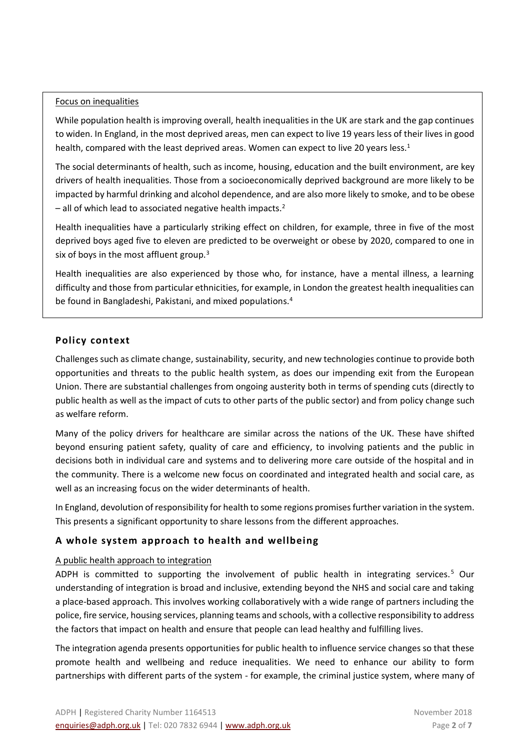#### Focus on inequalities

While population health is improving overall, health inequalities in the UK are stark and the gap continues to widen. In England, in the most deprived areas, men can expect to live 19 years less of their lives in good health, compared with the least deprived areas. Women can expect to live 20 years less.<sup>1</sup>

The social determinants of health, such as income, housing, education and the built environment, are key drivers of health inequalities. Those from a socioeconomically deprived background are more likely to be impacted by harmful drinking and alcohol dependence, and are also more likely to smoke, and to be obese  $-$  all of which lead to associated negative health impacts.<sup>2</sup>

Health inequalities have a particularly striking effect on children, for example, three in five of the most deprived boys aged five to eleven are predicted to be overweight or obese by 2020, compared to one in six of boys in the most affluent group. $3$ 

Health inequalities are also experienced by those who, for instance, have a mental illness, a learning difficulty and those from particular ethnicities, for example, in London the greatest health inequalities can be found in Bangladeshi, Pakistani, and mixed populations.<sup>4</sup>

## **Policy context**

Challenges such as climate change, sustainability, security, and new technologies continue to provide both opportunities and threats to the public health system, as does our impending exit from the European Union. There are substantial challenges from ongoing austerity both in terms of spending cuts (directly to public health as well as the impact of cuts to other parts of the public sector) and from policy change such as welfare reform.

Many of the policy drivers for healthcare are similar across the nations of the UK. These have shifted beyond ensuring patient safety, quality of care and efficiency, to involving patients and the public in decisions both in individual care and systems and to delivering more care outside of the hospital and in the community. There is a welcome new focus on coordinated and integrated health and social care, as well as an increasing focus on the wider determinants of health.

In England, devolution of responsibility for health to some regions promises further variation in the system. This presents a significant opportunity to share lessons from the different approaches.

# **A whole system approach to health and wellbeing**

## A public health approach to integration

ADPH is committed to supporting the involvement of public health in integrating services.<sup>5</sup> Our understanding of integration is broad and inclusive, extending beyond the NHS and social care and taking a place-based approach. This involves working collaboratively with a wide range of partners including the police, fire service, housing services, planning teams and schools, with a collective responsibility to address the factors that impact on health and ensure that people can lead healthy and fulfilling lives.

The integration agenda presents opportunities for public health to influence service changes so that these promote health and wellbeing and reduce inequalities. We need to enhance our ability to form partnerships with different parts of the system - for example, the criminal justice system, where many of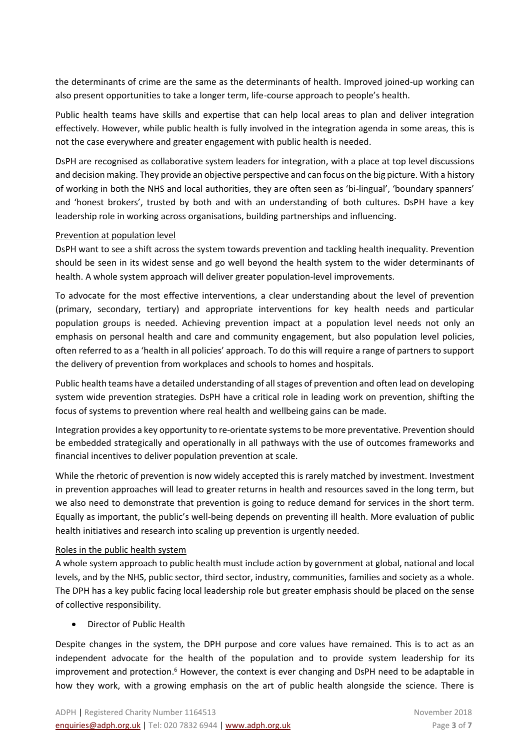the determinants of crime are the same as the determinants of health. Improved joined-up working can also present opportunities to take a longer term, life-course approach to people's health.

Public health teams have skills and expertise that can help local areas to plan and deliver integration effectively. However, while public health is fully involved in the integration agenda in some areas, this is not the case everywhere and greater engagement with public health is needed.

DsPH are recognised as collaborative system leaders for integration, with a place at top level discussions and decision making. They provide an objective perspective and can focus on the big picture. With a history of working in both the NHS and local authorities, they are often seen as 'bi-lingual', 'boundary spanners' and 'honest brokers', trusted by both and with an understanding of both cultures. DsPH have a key leadership role in working across organisations, building partnerships and influencing.

#### Prevention at population level

DsPH want to see a shift across the system towards prevention and tackling health inequality. Prevention should be seen in its widest sense and go well beyond the health system to the wider determinants of health. A whole system approach will deliver greater population-level improvements.

To advocate for the most effective interventions, a clear understanding about the level of prevention (primary, secondary, tertiary) and appropriate interventions for key health needs and particular population groups is needed. Achieving prevention impact at a population level needs not only an emphasis on personal health and care and community engagement, but also population level policies, often referred to as a 'health in all policies' approach. To do this will require a range of partners to support the delivery of prevention from workplaces and schools to homes and hospitals.

Public health teams have a detailed understanding of all stages of prevention and often lead on developing system wide prevention strategies. DsPH have a critical role in leading work on prevention, shifting the focus of systems to prevention where real health and wellbeing gains can be made.

Integration provides a key opportunity to re-orientate systems to be more preventative. Prevention should be embedded strategically and operationally in all pathways with the use of outcomes frameworks and financial incentives to deliver population prevention at scale.

While the rhetoric of prevention is now widely accepted this is rarely matched by investment. Investment in prevention approaches will lead to greater returns in health and resources saved in the long term, but we also need to demonstrate that prevention is going to reduce demand for services in the short term. Equally as important, the public's well-being depends on preventing ill health. More evaluation of public health initiatives and research into scaling up prevention is urgently needed.

#### Roles in the public health system

A whole system approach to public health must include action by government at global, national and local levels, and by the NHS, public sector, third sector, industry, communities, families and society as a whole. The DPH has a key public facing local leadership role but greater emphasis should be placed on the sense of collective responsibility.

#### • Director of Public Health

Despite changes in the system, the DPH purpose and core values have remained. This is to act as an independent advocate for the health of the population and to provide system leadership for its improvement and protection.<sup>6</sup> However, the context is ever changing and DsPH need to be adaptable in how they work, with a growing emphasis on the art of public health alongside the science. There is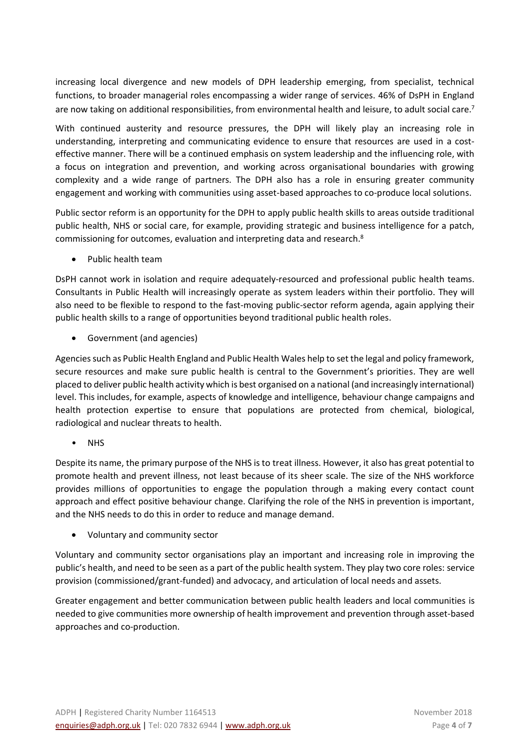increasing local divergence and new models of DPH leadership emerging, from specialist, technical functions, to broader managerial roles encompassing a wider range of services. 46% of DsPH in England are now taking on additional responsibilities, from environmental health and leisure, to adult social care.<sup>7</sup>

With continued austerity and resource pressures, the DPH will likely play an increasing role in understanding, interpreting and communicating evidence to ensure that resources are used in a costeffective manner. There will be a continued emphasis on system leadership and the influencing role, with a focus on integration and prevention, and working across organisational boundaries with growing complexity and a wide range of partners. The DPH also has a role in ensuring greater community engagement and working with communities using asset-based approaches to co-produce local solutions.

Public sector reform is an opportunity for the DPH to apply public health skills to areas outside traditional public health, NHS or social care, for example, providing strategic and business intelligence for a patch, commissioning for outcomes, evaluation and interpreting data and research.<sup>8</sup>

• Public health team

DsPH cannot work in isolation and require adequately-resourced and professional public health teams. Consultants in Public Health will increasingly operate as system leaders within their portfolio. They will also need to be flexible to respond to the fast-moving public-sector reform agenda, again applying their public health skills to a range of opportunities beyond traditional public health roles.

• Government (and agencies)

Agencies such as Public Health England and Public Health Wales help to set the legal and policy framework, secure resources and make sure public health is central to the Government's priorities. They are well placed to deliver public health activity which is best organised on a national (and increasingly international) level. This includes, for example, aspects of knowledge and intelligence, behaviour change campaigns and health protection expertise to ensure that populations are protected from chemical, biological, radiological and nuclear threats to health.

• NHS

Despite its name, the primary purpose of the NHS is to treat illness. However, it also has great potential to promote health and prevent illness, not least because of its sheer scale. The size of the NHS workforce provides millions of opportunities to engage the population through a making every contact count approach and effect positive behaviour change. Clarifying the role of the NHS in prevention is important, and the NHS needs to do this in order to reduce and manage demand.

• Voluntary and community sector

Voluntary and community sector organisations play an important and increasing role in improving the public's health, and need to be seen as a part of the public health system. They play two core roles: service provision (commissioned/grant-funded) and advocacy, and articulation of local needs and assets.

Greater engagement and better communication between public health leaders and local communities is needed to give communities more ownership of health improvement and prevention through asset-based approaches and co-production.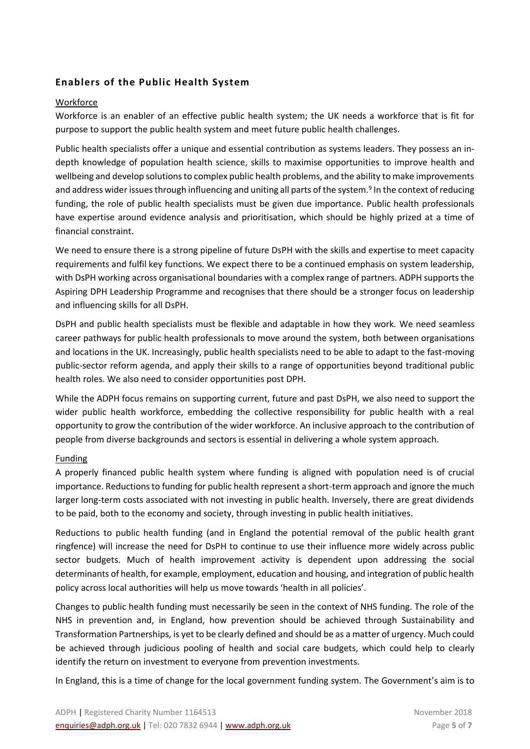# **Enablers of the Public Health System**

### **Workforce**

Workforce is an enabler of an effective public health system; the UK needs a workforce that is fit for purpose to support the public health system and meet future public health challenges.

Public health specialists offer a unique and essential contribution as systems leaders. They possess an indepth knowledge of population health science, skills to maximise opportunities to improve health and wellbeing and develop solutions to complex public health problems, and the ability to make improvements and address wider issues through influencing and uniting all parts of the system.<sup>9</sup> In the context of reducing funding, the role of public health specialists must be given due importance. Public health professionals have expertise around evidence analysis and prioritisation, which should be highly prized at a time of financial constraint.

We need to ensure there is a strong pipeline of future DsPH with the skills and expertise to meet capacity requirements and fulfil key functions. We expect there to be a continued emphasis on system leadership, with DsPH working across organisational boundaries with a complex range of partners. ADPH supports the Aspiring DPH Leadership Programme and recognises that there should be a stronger focus on leadership and influencing skills for all DsPH.

DsPH and public health specialists must be flexible and adaptable in how they work. We need seamless career pathways for public health professionals to move around the system, both between organisations and locations in the UK. Increasingly, public health specialists need to be able to adapt to the fast-moving public-sector reform agenda, and apply their skills to a range of opportunities beyond traditional public health roles. We also need to consider opportunities post DPH.

While the ADPH focus remains on supporting current, future and past DsPH, we also need to support the wider public health workforce, embedding the collective responsibility for public health with a real opportunity to grow the contribution of the wider workforce. An inclusive approach to the contribution of people from diverse backgrounds and sectors is essential in delivering a whole system approach.

#### Funding

A properly financed public health system where funding is aligned with population need is of crucial importance. Reductions to funding for public health represent a short-term approach and ignore the much larger long-term costs associated with not investing in public health. Inversely, there are great dividends to be paid, both to the economy and society, through investing in public health initiatives.

Reductions to public health funding (and in England the potential removal of the public health grant ringfence) will increase the need for DsPH to continue to use their influence more widely across public sector budgets. Much of health improvement activity is dependent upon addressing the social determinants of health, for example, employment, education and housing, and integration of public health policy across local authorities will help us move towards 'health in all policies'.

Changes to public health funding must necessarily be seen in the context of NHS funding. The role of the NHS in prevention and, in England, how prevention should be achieved through Sustainability and Transformation Partnerships, is yet to be clearly defined and should be as a matter of urgency. Much could be achieved through judicious pooling of health and social care budgets, which could help to clearly identify the return on investment to everyone from prevention investments.

In England, this is a time of change for the local government funding system. The Government's aim is to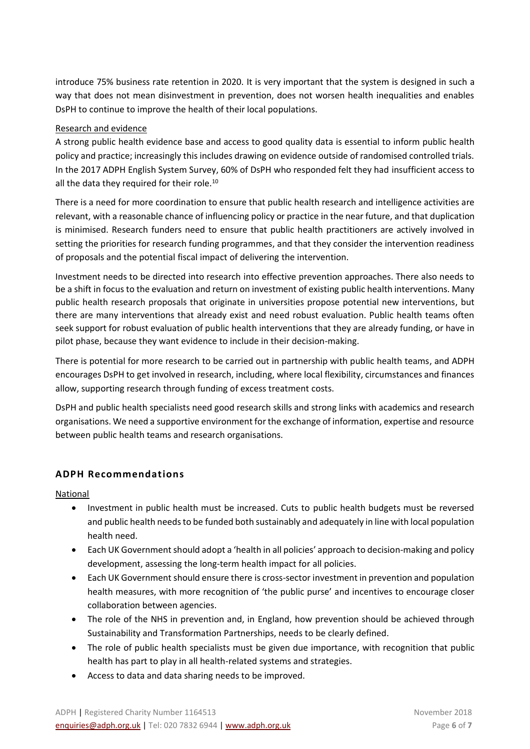introduce 75% business rate retention in 2020. It is very important that the system is designed in such a way that does not mean disinvestment in prevention, does not worsen health inequalities and enables DsPH to continue to improve the health of their local populations.

## Research and evidence

A strong public health evidence base and access to good quality data is essential to inform public health policy and practice; increasingly this includes drawing on evidence outside of randomised controlled trials. In the 2017 ADPH English System Survey, 60% of DsPH who responded felt they had insufficient access to all the data they required for their role.<sup>10</sup>

There is a need for more coordination to ensure that public health research and intelligence activities are relevant, with a reasonable chance of influencing policy or practice in the near future, and that duplication is minimised. Research funders need to ensure that public health practitioners are actively involved in setting the priorities for research funding programmes, and that they consider the intervention readiness of proposals and the potential fiscal impact of delivering the intervention.

Investment needs to be directed into research into effective prevention approaches. There also needs to be a shift in focus to the evaluation and return on investment of existing public health interventions. Many public health research proposals that originate in universities propose potential new interventions, but there are many interventions that already exist and need robust evaluation. Public health teams often seek support for robust evaluation of public health interventions that they are already funding, or have in pilot phase, because they want evidence to include in their decision-making.

There is potential for more research to be carried out in partnership with public health teams, and ADPH encourages DsPH to get involved in research, including, where local flexibility, circumstances and finances allow, supporting research through funding of excess treatment costs.

DsPH and public health specialists need good research skills and strong links with academics and research organisations. We need a supportive environment for the exchange of information, expertise and resource between public health teams and research organisations.

# **ADPH Recommendations**

National

- Investment in public health must be increased. Cuts to public health budgets must be reversed and public health needs to be funded both sustainably and adequately in line with local population health need.
- Each UK Government should adopt a 'health in all policies' approach to decision-making and policy development, assessing the long-term health impact for all policies.
- Each UK Government should ensure there is cross-sector investment in prevention and population health measures, with more recognition of 'the public purse' and incentives to encourage closer collaboration between agencies.
- The role of the NHS in prevention and, in England, how prevention should be achieved through Sustainability and Transformation Partnerships, needs to be clearly defined.
- The role of public health specialists must be given due importance, with recognition that public health has part to play in all health-related systems and strategies.
- Access to data and data sharing needs to be improved.